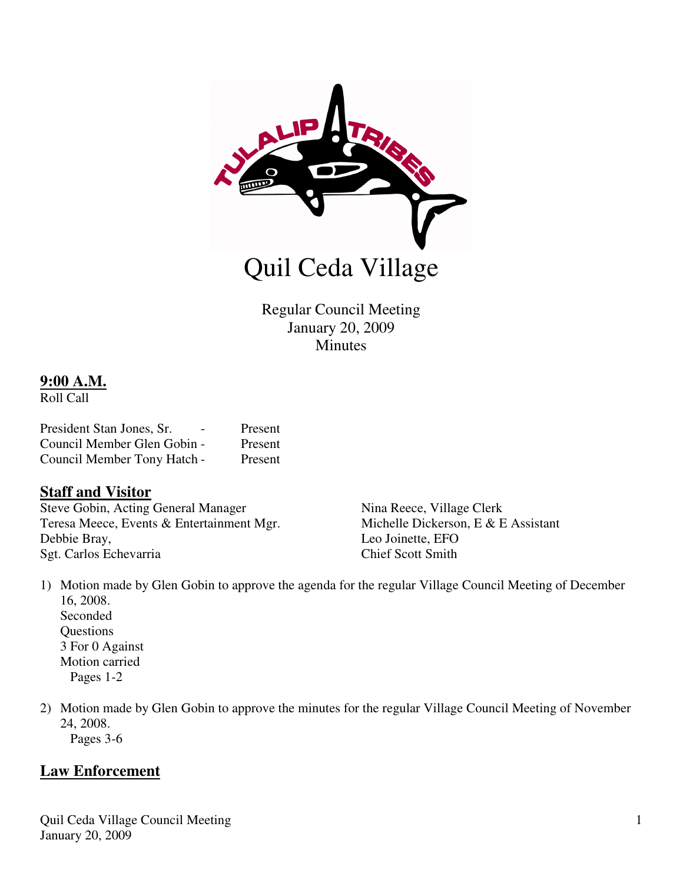

Regular Council Meeting January 20, 2009 Minutes

#### **9:00 A.M.**

Roll Call

| President Stan Jones, Sr.   | Present |
|-----------------------------|---------|
| Council Member Glen Gobin - | Present |
| Council Member Tony Hatch - | Present |

## **Staff and Visitor**

Steve Gobin, Acting General Manager Nina Reece, Village Clerk Teresa Meece, Events & Entertainment Mgr. Michelle Dickerson, E & E Assistant Debbie Bray, Leo Joinette, EFO Sgt. Carlos Echevarria Chief Scott Smith

- 1) Motion made by Glen Gobin to approve the agenda for the regular Village Council Meeting of December 16, 2008. Seconded **Questions**  3 For 0 Against Motion carried Pages 1-2
- 2) Motion made by Glen Gobin to approve the minutes for the regular Village Council Meeting of November 24, 2008.

# Pages 3-6

## **Law Enforcement**

Quil Ceda Village Council Meeting January 20, 2009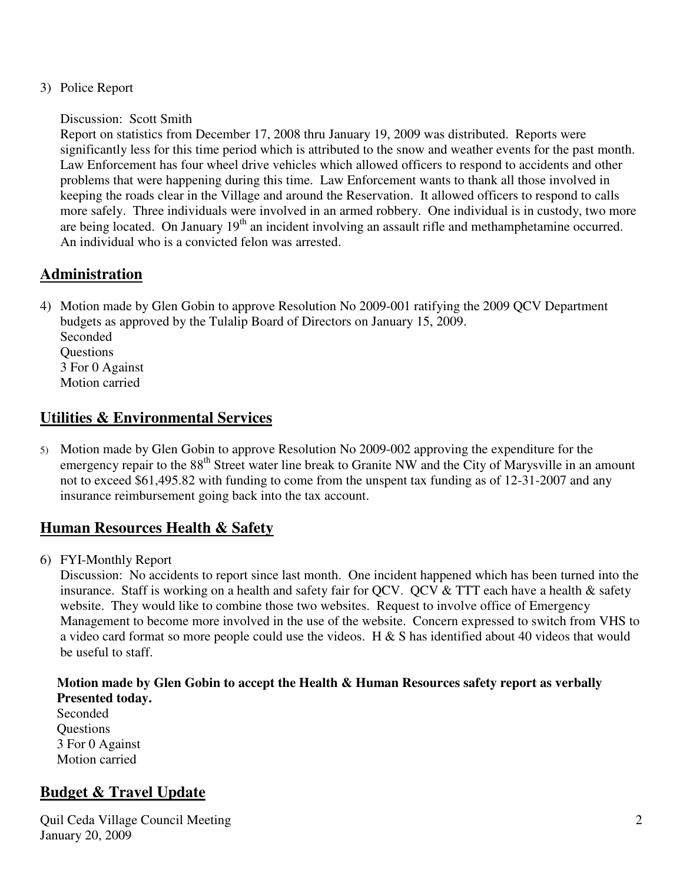3) Police Report

Discussion: Scott Smith

Report on statistics from December 17, 2008 thru January 19, 2009 was distributed. Reports were significantly less for this time period which is attributed to the snow and weather events for the past month. Law Enforcement has four wheel drive vehicles which allowed officers to respond to accidents and other problems that were happening during this time. Law Enforcement wants to thank all those involved in keeping the roads clear in the Village and around the Reservation. It allowed officers to respond to calls more safely. Three individuals were involved in an armed robbery. One individual is in custody, two more are being located. On January 19<sup>th</sup> an incident involving an assault rifle and methamphetamine occurred. An individual who is a convicted felon was arrested.

# **Administration**

4) Motion made by Glen Gobin to approve Resolution No 2009-001 ratifying the 2009 QCV Department budgets as approved by the Tulalip Board of Directors on January 15, 2009. Seconded **Questions** 3 For 0 Against Motion carried

## **Utilities & Environmental Services**

5) Motion made by Glen Gobin to approve Resolution No 2009-002 approving the expenditure for the emergency repair to the 88<sup>th</sup> Street water line break to Granite NW and the City of Marysville in an amount not to exceed \$61,495.82 with funding to come from the unspent tax funding as of 12-31-2007 and any insurance reimbursement going back into the tax account.

# **Human Resources Health & Safety**

6) FYI-Monthly Report

Discussion: No accidents to report since last month. One incident happened which has been turned into the insurance. Staff is working on a health and safety fair for OCV. OCV & TTT each have a health & safety website. They would like to combine those two websites. Request to involve office of Emergency Management to become more involved in the use of the website. Concern expressed to switch from VHS to a video card format so more people could use the videos. H & S has identified about 40 videos that would be useful to staff.

#### **Motion made by Glen Gobin to accept the Health & Human Resources safety report as verbally Presented today.**

 Seconded **Questions**  3 For 0 Against Motion carried

# **Budget & Travel Update**

Quil Ceda Village Council Meeting January 20, 2009